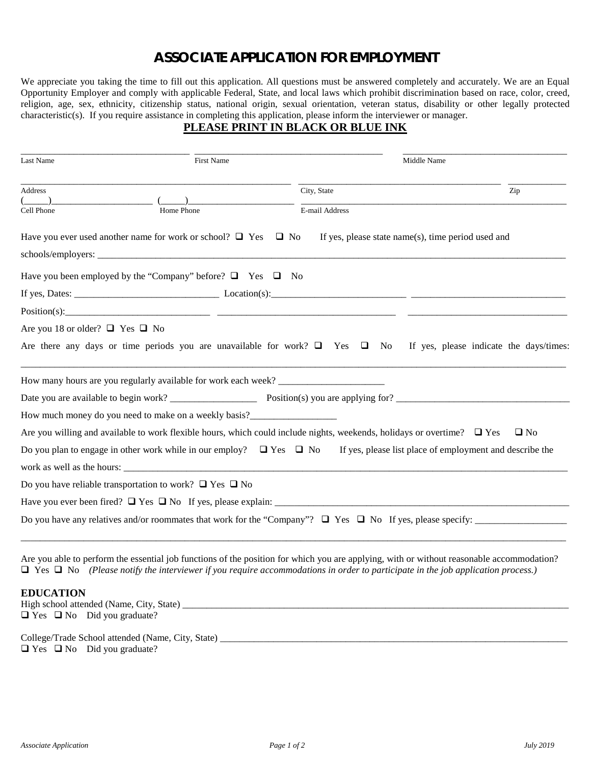# **ASSOCIATE APPLICATION FOR EMPLOYMENT**

We appreciate you taking the time to fill out this application. All questions must be answered completely and accurately. We are an Equal Opportunity Employer and comply with applicable Federal, State, and local laws which prohibit discrimination based on race, color, creed, religion, age, sex, ethnicity, citizenship status, national origin, sexual orientation, veteran status, disability or other legally protected characteristic(s). If you require assistance in completing this application, please inform the interviewer or manager.

## **PLEASE PRINT IN BLACK OR BLUE INK**

| Last Name                                                                         | First Name | Middle Name                                                                                                                   |           |
|-----------------------------------------------------------------------------------|------------|-------------------------------------------------------------------------------------------------------------------------------|-----------|
| Address                                                                           |            | City, State                                                                                                                   | Zip       |
| Cell Phone                                                                        | Home Phone | E-mail Address                                                                                                                |           |
| Have you ever used another name for work or school? $\Box$ Yes $\Box$ No          |            | If yes, please state name(s), time period used and                                                                            |           |
|                                                                                   |            |                                                                                                                               |           |
| Have you been employed by the "Company" before? $\Box$ Yes $\Box$ No              |            |                                                                                                                               |           |
|                                                                                   |            |                                                                                                                               |           |
|                                                                                   |            |                                                                                                                               |           |
| Are you 18 or older? $\Box$ Yes $\Box$ No                                         |            |                                                                                                                               |           |
|                                                                                   |            | Are there any days or time periods you are unavailable for work? $\Box$ Yes $\Box$ No If yes, please indicate the days/times: |           |
| How many hours are you regularly available for work each week? __________________ |            |                                                                                                                               |           |
|                                                                                   |            |                                                                                                                               |           |
| How much money do you need to make on a weekly basis?___________________________  |            |                                                                                                                               |           |
|                                                                                   |            | Are you willing and available to work flexible hours, which could include nights, weekends, holidays or overtime? $\Box$ Yes  | $\Box$ No |
| Do you plan to engage in other work while in our employ? $\Box$ Yes $\Box$ No     |            | If yes, please list place of employment and describe the                                                                      |           |
|                                                                                   |            |                                                                                                                               |           |
| Do you have reliable transportation to work? $\Box$ Yes $\Box$ No                 |            |                                                                                                                               |           |
|                                                                                   |            |                                                                                                                               |           |
|                                                                                   |            |                                                                                                                               |           |
|                                                                                   |            |                                                                                                                               |           |

Are you able to perform the essential job functions of the position for which you are applying, with or without reasonable accommodation? Yes No *(Please notify the interviewer if you require accommodations in order to participate in the job application process.)*

#### **EDUCATION**

High school attended (Name, City, State) \_\_\_\_\_\_\_\_\_\_\_\_\_\_\_\_\_\_\_\_\_\_\_\_\_\_\_\_\_\_\_\_\_\_\_\_\_\_\_\_\_\_\_\_\_\_\_\_\_\_\_\_\_\_\_\_\_\_\_\_\_\_\_\_\_\_\_\_\_\_\_\_\_\_\_\_\_\_\_\_  $\Box$  Yes  $\Box$  No Did you graduate? College/Trade School attended (Name, City, State) \_\_\_\_\_\_\_\_\_\_\_\_\_\_\_\_\_\_\_\_\_\_\_\_\_\_\_\_\_\_\_\_\_\_\_\_\_\_\_\_\_\_\_\_\_\_\_\_\_\_\_\_\_\_\_\_\_\_\_\_\_\_\_\_\_\_\_\_\_\_\_\_

 $\Box$  Yes  $\Box$  No Did you graduate?